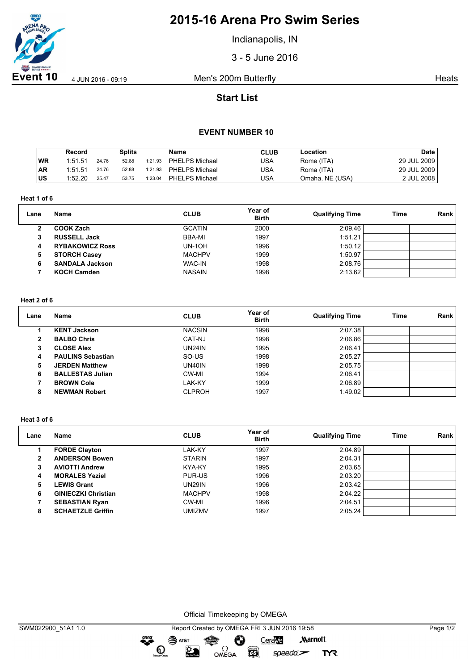

# **2015-16 Arena Pro Swim Series**

Indianapolis, IN

3 - 5 June 2016

**Event 10** 4 JUN 2016 - 09:19 Men's 200m Butterfly And Allen And Heats

## **Start List**

### **EVENT NUMBER 10**

|           | Record  |       | Splits |         | Name           | <b>CLUB</b> | ∟ocation        | Date        |
|-----------|---------|-------|--------|---------|----------------|-------------|-----------------|-------------|
| <b>WR</b> | 1:51.51 | 24.76 | 52.88  | 1:21.93 | PHELPS Michael | USA         | Rome (ITA)      | 29 JUL 2009 |
| <b>AR</b> | 1:51.51 | 24.76 | 52.88  | 1:21.93 | PHELPS Michael | USA         | Roma (ITA)      | 29 JUL 2009 |
| <b>US</b> | 1:52.20 | 25.47 | 53.75  | 1:23.04 | PHELPS Michael | USA         | Omaha, NE (USA) | 2 JUL 2008  |

**Heat 1 of 6**

| Lane | <b>Name</b>            | <b>CLUB</b>   | Year of<br><b>Birth</b> | <b>Qualifying Time</b> | Time | Rank |
|------|------------------------|---------------|-------------------------|------------------------|------|------|
|      | <b>COOK Zach</b>       | <b>GCATIN</b> | 2000                    | 2:09.46                |      |      |
| 3    | <b>RUSSELL Jack</b>    | BBA-MI        | 1997                    | 1:51.21                |      |      |
| 4    | <b>RYBAKOWICZ Ross</b> | <b>UN-10H</b> | 1996                    | 1:50.12                |      |      |
| 5    | <b>STORCH Casey</b>    | <b>MACHPV</b> | 1999                    | 1:50.97                |      |      |
|      | <b>SANDALA Jackson</b> | <b>WAC-IN</b> | 1998                    | 2:08.76                |      |      |
|      | <b>KOCH Camden</b>     | <b>NASAIN</b> | 1998                    | 2:13.62                |      |      |

### **Heat 2 of 6**

| Lane | Name                     | <b>CLUB</b>   | Year of<br><b>Birth</b> | <b>Qualifying Time</b> | Time | Rank |
|------|--------------------------|---------------|-------------------------|------------------------|------|------|
|      | <b>KENT Jackson</b>      | <b>NACSIN</b> | 1998                    | 2:07.38                |      |      |
| 2    | <b>BALBO Chris</b>       | CAT-NJ        | 1998                    | 2:06.86                |      |      |
| 3    | <b>CLOSE Alex</b>        | UN24IN        | 1995                    | 2:06.41                |      |      |
| 4    | <b>PAULINS Sebastian</b> | SO-US         | 1998                    | 2:05.27                |      |      |
| 5    | <b>JERDEN Matthew</b>    | UN40IN        | 1998                    | 2:05.75                |      |      |
| 6    | <b>BALLESTAS Julian</b>  | CW-MI         | 1994                    | 2:06.41                |      |      |
|      | <b>BROWN Cole</b>        | LAK-KY        | 1999                    | 2:06.89                |      |      |
| 8    | <b>NEWMAN Robert</b>     | <b>CLPROH</b> | 1997                    | 1:49.02                |      |      |

#### **Heat 3 of 6**

| Lane         | <b>Name</b>                | <b>CLUB</b>   | Year of<br><b>Birth</b> | <b>Qualifying Time</b> | <b>Time</b> | Rank |
|--------------|----------------------------|---------------|-------------------------|------------------------|-------------|------|
|              | <b>FORDE Clayton</b>       | LAK-KY        | 1997                    | 2:04.89                |             |      |
| $\mathbf{2}$ | <b>ANDERSON Bowen</b>      | <b>STARIN</b> | 1997                    | 2:04.31                |             |      |
| 3            | <b>AVIOTTI Andrew</b>      | KYA-KY        | 1995                    | 2:03.65                |             |      |
| 4            | <b>MORALES Yeziel</b>      | PUR-US        | 1996                    | 2:03.20                |             |      |
| 5            | <b>LEWIS Grant</b>         | <b>UN29IN</b> | 1996                    | 2:03.42                |             |      |
| 6            | <b>GINIECZKI Christian</b> | <b>MACHPV</b> | 1998                    | 2:04.22                |             |      |
|              | <b>SEBASTIAN Ryan</b>      | CW-MI         | 1996                    | 2:04.51                |             |      |
| 8            | <b>SCHAETZLE Griffin</b>   | UMIZMV        | 1997                    | 2:05.24                |             |      |

Official Timekeeping by OMEGA

 $\overbrace{\phantom{1}}^{\text{mean}}$